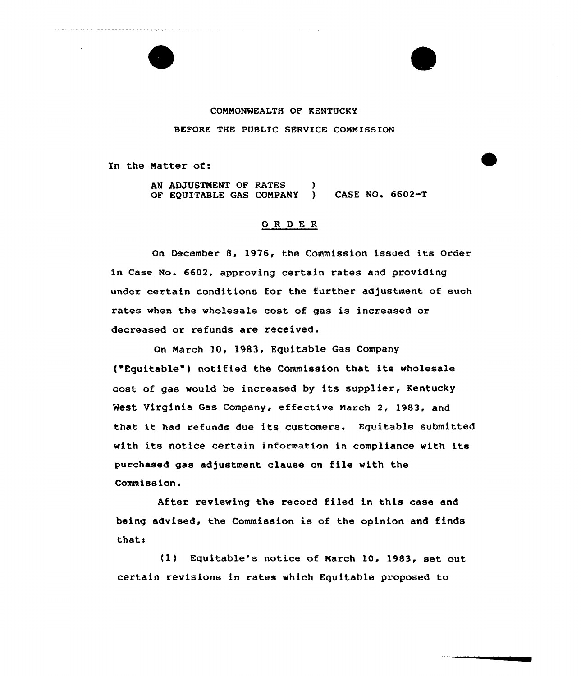# COMMONWEALTH OF KENTUCKY BEFORE THE PUBLIC SERVICE COMMISSION

In the Matter of:

AN ADJUSTMENT OF RATES ) OF EQUITABLE GAS COMPANY ) CASE NO. 6602-T

## ORDER

On December 8, 1976, the Commission issued its Order in Case No. 6602, approving cextain rates and providing under certain conditions fox the further adjustment of such rates when the wholesale cost of gas is increased or decreased or refunds are received.

On March 10, 1983, Equitable Gas Company ( Equitable" ) notified the Commission that its wholesale cost of gas would be increased by its supplier, Kentucky West Virginia Gas Company, effective March 2, 1983, and that it had refunds due its customers. Equitable submitted with its notice certain information in compliance with its purchased gas adjustment clause on file with the Commission.

After reviewing the record filed in this case and being advised, the Commission is of the opinion and finds thats

{1) Equitable's notice of March 10, 1983, set out certain revisions in rates which Equitable proposed to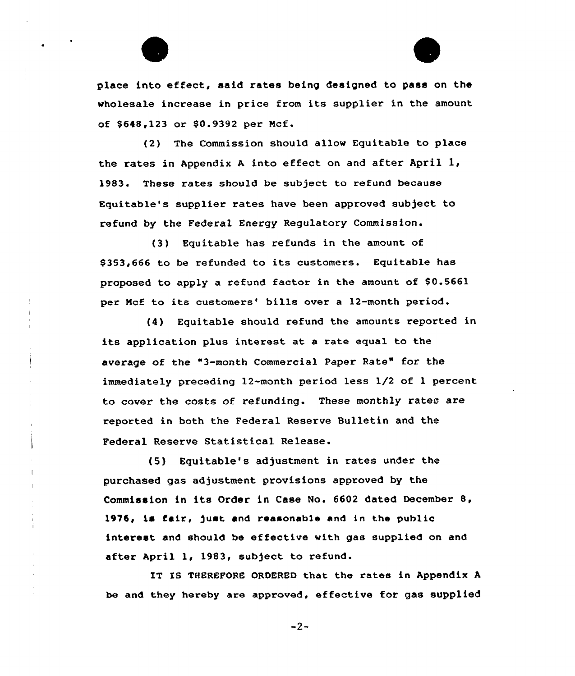

place into effect, said rates being designed to pass on the wholesale increase in price from its supplier in the amount of \$648,123 or \$0.9392 per Mcf.

{2) The Commission should allow Equitable to place the rates in Appendix <sup>A</sup> into effect on and after April 1, 1983. These rates should be subject to refund because Equitable's supplier rates have been approved subject to refund by the Federal Energy Regulatory Commission.

(3) Equitable has refunds in the amount of \$ 353,666 to be refunded to its customers. Equitable has proposed to apply a refund factor in the amount of \$0.5661 per Mcf to its customers' bills over a 12-month period.

{4) Equitable should refund the amounts reported in its application plus interest at a rate equal to the average of the "3-month Commercial Paper Rate" for the immediately preceding 12-month period less 1/2 of 1 percent to cover the costs of refunding. These monthly rates are xeported in both the Federal Reserve Bulletin and the Federal Reserve Statistical Release.

{5) Equitable's adjustment in rates under the purchased gas adjustment provisions appxoved by the Commission in its Order in Case No. 6602 dated December 8, 1976, is fair, just and reasonable and in the public interest and should be effective with gas supplied on and after April 1, 1983, subject to refund.

IT IS THEREFORE ORDERED that the rates in Appendix A be and they hereby are approved, effective for gas supplied

 $-2-$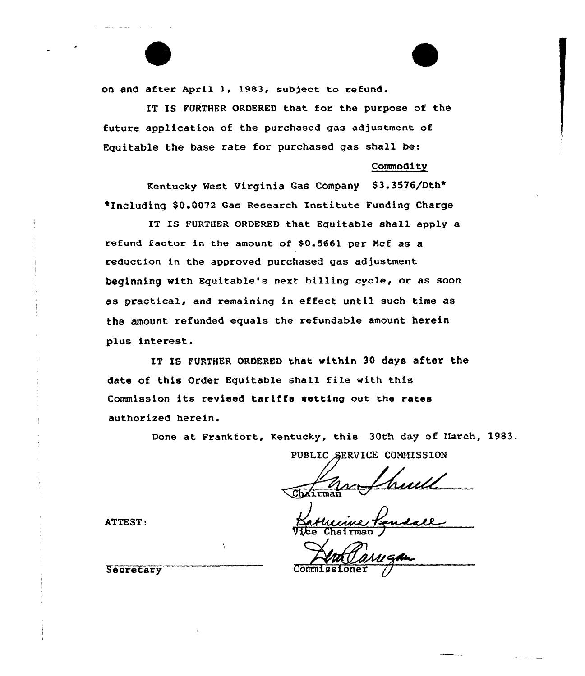on and after April l, 1983, sub)ect to refund.

IT IS FURTHER ORDERED that for the purpose of the future application of the purchased gas adjustment of Equitable the base rate for purchased gas shall be:

#### Commodity

Kentucky West Virginia Gas Company 83.3576/Dth» \*Including \$0.0072 Gas Research Institute Funding Charge

IT IS FURTHER ORDERED that Equitable shall apply a refund factor in the amount of \$0.5661 per Mcf as a reduction in the approved purchased gas adjustment beginning with Equitable's next billing cycle, or as soon as practical, and remaining in effect until such time as the amount refunded equals the refundable amount herein plus interest.

IT IS FURTHER ORDERED that within 30 days after the date of this Order Equitable shall file with this Commission its revised tariffs setting out the rates authorized herein.

Done at Frankfort, Kentucky, this 30th day of March, 1983.

PUBLIC SERVICE COMMISSION

 $\overrightarrow{V}$ le Chairman  $\overrightarrow{V}$ 

qyAa

Commiss

ATTEST:

**Secretary** 

 $\mathbf{A}$